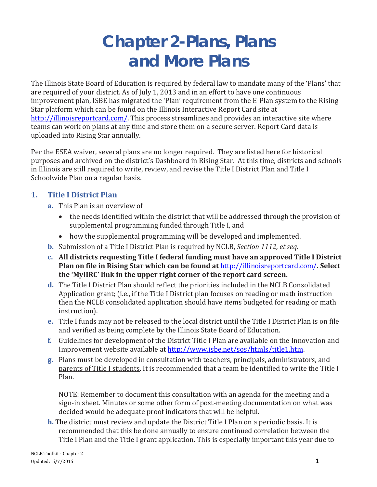# **Chapter 2-Plans, Plans and More Plans**

The Illinois State Board of Education is required by federal law to mandate many of the 'Plans' that are required of your district. As of July 1, 2013 and in an effort to have one continuous improvement plan, ISBE has migrated the 'Plan' requirement from the E-Plan system to the Rising Star platform which can be found on the Illinois Interactive Report Card site at [http://illinoisreportcard.com/.](http://illinoisreportcard.com/) This process streamlines and provides an interactive site where teams can work on plans at any time and store them on a secure server. Report Card data is uploaded into Rising Star annually.

Per the ESEA waiver, several plans are no longer required. They are listed here for historical purposes and archived on the district's Dashboard in Rising Star. At this time, districts and schools in Illinois are still required to write, review, and revise the Title I District Plan and Title I Schoolwide Plan on a regular basis.

#### **1. Title I District Plan**

- **a.** This Plan is an overview of
	- the needs identified within the district that will be addressed through the provision of supplemental programming funded through Title I, and
	- how the supplemental programming will be developed and implemented.
- **b.** Submission of a Title I District Plan is required by NCLB, *Section 1112, et.seq*.
- **c. All districts requesting Title I federal funding must have an approved Title I District Plan on file in Rising Star which can be found at** <http://illinoisreportcard.com/>**. Select the 'MyIIRC' link in the upper right corner of the report card screen.**
- **d.** The Title I District Plan should reflect the priorities included in the NCLB Consolidated Application grant; (i.e., if the Title I District plan focuses on reading or math instruction then the NCLB consolidated application should have items budgeted for reading or math instruction).
- **e.** Title I funds may not be released to the local district until the Title I District Plan is on file and verified as being complete by the Illinois State Board of Education.
- **f.** Guidelines for development of the District Title I Plan are available on the Innovation and Improvement website available at [http://www.isbe.net/sos/htmls/title1.htm.](http://www.isbe.net/sos/htmls/title1.htm)
- **g.** Plans must be developed in consultation with teachers, principals, administrators, and parents of Title I students. It is recommended that a team be identified to write the Title I Plan.

NOTE: Remember to document this consultation with an agenda for the meeting and a sign-in sheet. Minutes or some other form of post-meeting documentation on what was decided would be adequate proof indicators that will be helpful.

**h.** The district must review and update the District Title I Plan on a periodic basis. It is recommended that this be done annually to ensure continued correlation between the Title I Plan and the Title I grant application. This is especially important this year due to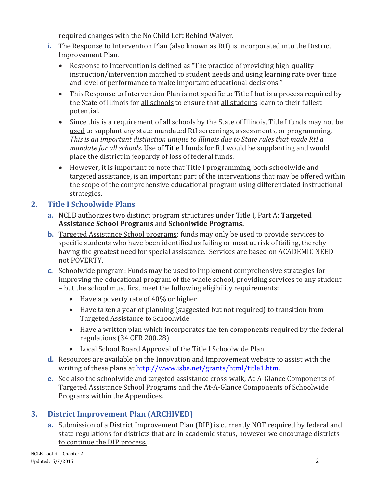required changes with the No Child Left Behind Waiver.

- **i.** The Response to Intervention Plan (also known as RtI) is incorporated into the District Improvement Plan.
	- Response to Intervention is defined as "The practice of providing high-quality instruction/intervention matched to student needs and using learning rate over time and level of performance to make important educational decisions."
	- This Response to Intervention Plan is not specific to Title I but is a process required by the State of Illinois for all schools to ensure that all students learn to their fullest potential.
	- Since this is a requirement of all schools by the State of Illinois, Title I funds may not be used to supplant any state-mandated RtI screenings, assessments, or programming. *This is an important distinction unique to Illinois due to State rules that made RtI a mandate for all schools.* Use of Title I funds for RtI would be supplanting and would place the district in jeopardy of loss of federal funds.
	- However, it is important to note that Title I programming, both schoolwide and targeted assistance, is an important part of the interventions that may be offered within the scope of the comprehensive educational program using differentiated instructional strategies.

# **2. Title I Schoolwide Plans**

- **a.** NCLB authorizes two distinct program structures under Title I, Part A: **Targeted Assistance School Programs** and **Schoolwide Programs.**
- **b.** Targeted Assistance School programs: funds may only be used to provide services to specific students who have been identified as failing or most at risk of failing, thereby having the greatest need for special assistance. Services are based on ACADEMIC NEED not POVERTY.
- **c.** Schoolwide program: Funds may be used to implement comprehensive strategies for improving the educational program of the whole school, providing services to any student – but the school must first meet the following eligibility requirements:
	- Have a poverty rate of 40% or higher
	- Have taken a year of planning (suggested but not required) to transition from Targeted Assistance to Schoolwide
	- Have a written plan which incorporates the ten components required by the federal regulations (34 CFR 200.28)
	- Local School Board Approval of the Title I Schoolwide Plan
- **d.** Resources are available on the Innovation and Improvement website to assist with the writing of these plans at [http://www.isbe.net/grants/html/title1.htm.](http://www.isbe.net/grants/html/title1.htm)
- **e.** See also the schoolwide and targeted assistance cross-walk, At-A-Glance Components of Targeted Assistance School Programs and the At-A-Glance Components of Schoolwide Programs within the Appendices.

# **3. District Improvement Plan (ARCHIVED)**

**a.** Submission of a District Improvement Plan (DIP) is currently NOT required by federal and state regulations for districts that are in academic status, however we encourage districts to continue the DIP process.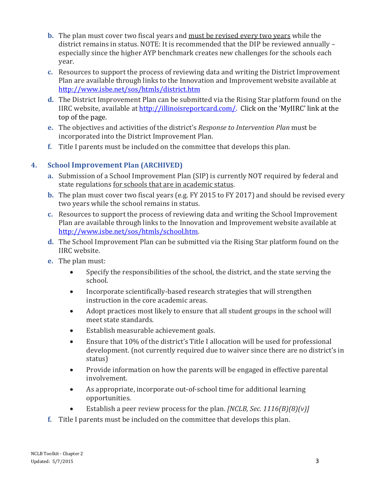- **b.** The plan must cover two fiscal years and must be revised every two years while the district remains in status. NOTE: It is recommended that the DIP be reviewed annually – especially since the higher AYP benchmark creates new challenges for the schools each year.
- **c.** Resources to support the process of reviewing data and writing the District Improvement Plan are available through links to the Innovation and Improvement website available at <http://www.isbe.net/sos/htmls/district.htm>
- **d.** The District Improvement Plan can be submitted via the Rising Star platform found on the IIRC website, available at [http://illinoisreportcard.com/.](http://illinoisreportcard.com/) Click on the 'MyIIRC' link at the top of the page.
- **e.** The objectives and activities of the district's *Response to Intervention Plan* must be incorporated into the District Improvement Plan.
- **f.** Title I parents must be included on the committee that develops this plan.

# **4. School Improvement Plan (ARCHIVED)**

- **a.** Submission of a School Improvement Plan (SIP) is currently NOT required by federal and state regulations for schools that are in academic status.
- **b.** The plan must cover two fiscal years (e.g. FY 2015 to FY 2017) and should be revised every two years while the school remains in status.
- **c.** Resources to support the process of reviewing data and writing the School Improvement Plan are available through links to the Innovation and Improvement website available at [http://www.isbe.net/sos/htmls/school.htm.](http://www.isbe.net/sos/htmls/school.htm)
- **d.** The School Improvement Plan can be submitted via the Rising Star platform found on the IIRC website.
- **e.** The plan must:
	- Specify the responsibilities of the school, the district, and the state serving the school.
	- Incorporate scientifically-based research strategies that will strengthen instruction in the core academic areas.
	- Adopt practices most likely to ensure that all student groups in the school will meet state standards.
	- Establish measurable achievement goals.
	- Ensure that 10% of the district's Title I allocation will be used for professional development. (not currently required due to waiver since there are no district's in status)
	- Provide information on how the parents will be engaged in effective parental involvement.
	- As appropriate, incorporate out-of-school time for additional learning opportunities.
	- Establish a peer review process for the plan. *[NCLB, Sec. 1116(B)(8)(v)]*
- **f.** Title I parents must be included on the committee that develops this plan.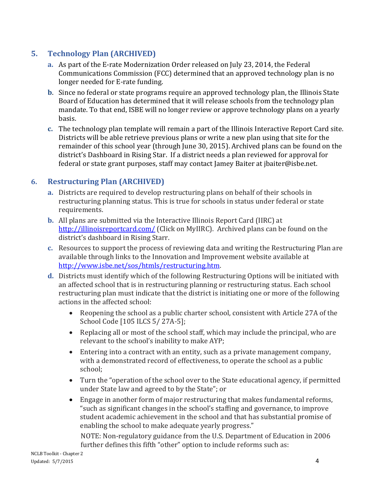#### **5. Technology Plan (ARCHIVED)**

- **a.** As part of the E-rate Modernization Order released on July 23, 2014, the Federal Communications Commission (FCC) determined that an approved technology plan is no longer needed for E-rate funding.
- **b**. Since no federal or state programs require an approved technology plan, the Illinois State Board of Education has determined that it will release schools from the technology plan mandate. To that end, ISBE will no longer review or approve technology plans on a yearly basis.
- **c.** The technology plan template will remain a part of the Illinois Interactive Report Card site. Districts will be able retrieve previous plans or write a new plan using that site for the remainder of this school year (through June 30, 2015). Archived plans can be found on the district's Dashboard in Rising Star. If a district needs a plan reviewed for approval for federal or state grant purposes, staff may contact Jamey Baiter at [jbaiter@isbe.net.](mailto:jbaiter@isbe.net)

#### **6. Restructuring Plan (ARCHIVED)**

- **a.** Districts are required to develop restructuring plans on behalf of their schools in restructuring planning status. This is true for schools in status under federal or state requirements.
- **b.** All plans are submitted via the Interactive Illinois Report Card (IIRC) at <http://illinoisreportcard.com/> (Click on MyIIRC). Archived plans can be found on the district's dashboard in Rising Starr.
- **c.** Resources to support the process of reviewing data and writing the Restructuring Plan are available through links to the Innovation and Improvement website available at [http://www.isbe.net/sos/htmls/restructuring.htm.](http://www.isbe.net/sos/htmls/restructuring.htm)
- **d.** Districts must identify which of the following Restructuring Options will be initiated with an affected school that is in restructuring planning or restructuring status. Each school restructuring plan must indicate that the district is initiating one or more of the following actions in the affected school:
	- Reopening the school as a public charter school, consistent with Article 27A of the School Code [105 ILCS 5/ 27A-5];
	- Replacing all or most of the school staff, which may include the principal, who are relevant to the school's inability to make AYP;
	- Entering into a contract with an entity, such as a private management company, with a demonstrated record of effectiveness, to operate the school as a public school;
	- Turn the "operation of the school over to the State educational agency, if permitted under State law and agreed to by the State"; or
	- Engage in another form of major restructuring that makes fundamental reforms, "such as significant changes in the school's staffing and governance, to improve student academic achievement in the school and that has substantial promise of enabling the school to make adequate yearly progress."

NOTE: Non-regulatory guidance from the U.S. Department of Education in 2006 further defines this fifth "other" option to include reforms such as: